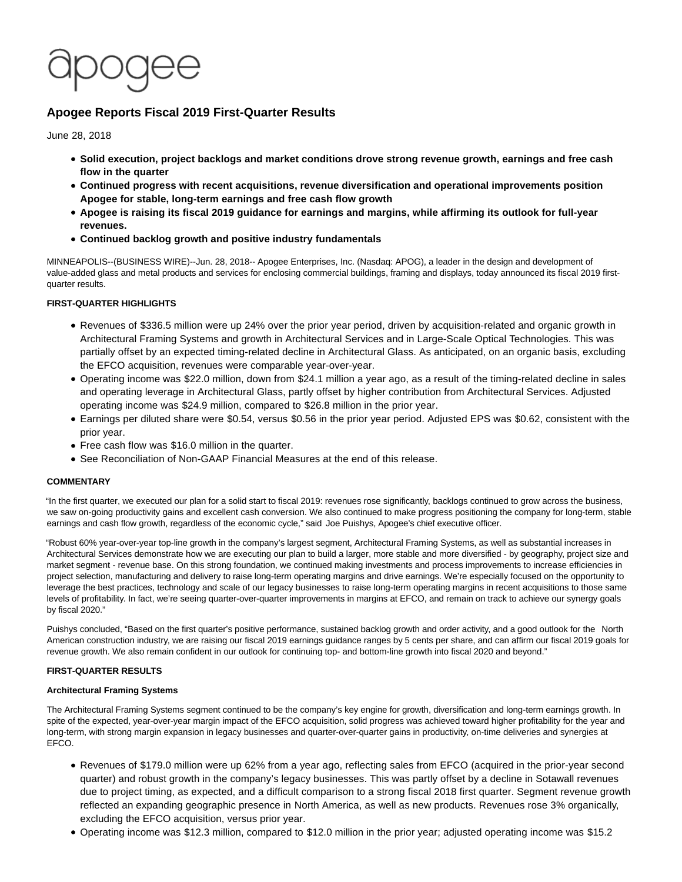

# **Apogee Reports Fiscal 2019 First-Quarter Results**

June 28, 2018

- **Solid execution, project backlogs and market conditions drove strong revenue growth, earnings and free cash flow in the quarter**
- **Continued progress with recent acquisitions, revenue diversification and operational improvements position Apogee for stable, long-term earnings and free cash flow growth**
- **Apogee is raising its fiscal 2019 guidance for earnings and margins, while affirming its outlook for full-year revenues.**
- **Continued backlog growth and positive industry fundamentals**

MINNEAPOLIS--(BUSINESS WIRE)--Jun. 28, 2018-- Apogee Enterprises, Inc. (Nasdaq: APOG), a leader in the design and development of value-added glass and metal products and services for enclosing commercial buildings, framing and displays, today announced its fiscal 2019 firstquarter results.

## **FIRST-QUARTER HIGHLIGHTS**

- Revenues of \$336.5 million were up 24% over the prior year period, driven by acquisition-related and organic growth in Architectural Framing Systems and growth in Architectural Services and in Large-Scale Optical Technologies. This was partially offset by an expected timing-related decline in Architectural Glass. As anticipated, on an organic basis, excluding the EFCO acquisition, revenues were comparable year-over-year.
- Operating income was \$22.0 million, down from \$24.1 million a year ago, as a result of the timing-related decline in sales and operating leverage in Architectural Glass, partly offset by higher contribution from Architectural Services. Adjusted operating income was \$24.9 million, compared to \$26.8 million in the prior year.
- Earnings per diluted share were \$0.54, versus \$0.56 in the prior year period. Adjusted EPS was \$0.62, consistent with the prior year.
- Free cash flow was \$16.0 million in the quarter.
- See Reconciliation of Non-GAAP Financial Measures at the end of this release.

### **COMMENTARY**

"In the first quarter, we executed our plan for a solid start to fiscal 2019: revenues rose significantly, backlogs continued to grow across the business, we saw on-going productivity gains and excellent cash conversion. We also continued to make progress positioning the company for long-term, stable earnings and cash flow growth, regardless of the economic cycle," said Joe Puishys, Apogee's chief executive officer.

"Robust 60% year-over-year top-line growth in the company's largest segment, Architectural Framing Systems, as well as substantial increases in Architectural Services demonstrate how we are executing our plan to build a larger, more stable and more diversified - by geography, project size and market segment - revenue base. On this strong foundation, we continued making investments and process improvements to increase efficiencies in project selection, manufacturing and delivery to raise long-term operating margins and drive earnings. We're especially focused on the opportunity to leverage the best practices, technology and scale of our legacy businesses to raise long-term operating margins in recent acquisitions to those same levels of profitability. In fact, we're seeing quarter-over-quarter improvements in margins at EFCO, and remain on track to achieve our synergy goals by fiscal 2020."

Puishys concluded, "Based on the first quarter's positive performance, sustained backlog growth and order activity, and a good outlook for the North American construction industry, we are raising our fiscal 2019 earnings guidance ranges by 5 cents per share, and can affirm our fiscal 2019 goals for revenue growth. We also remain confident in our outlook for continuing top- and bottom-line growth into fiscal 2020 and beyond."

### **FIRST-QUARTER RESULTS**

### **Architectural Framing Systems**

The Architectural Framing Systems segment continued to be the company's key engine for growth, diversification and long-term earnings growth. In spite of the expected, year-over-year margin impact of the EFCO acquisition, solid progress was achieved toward higher profitability for the year and long-term, with strong margin expansion in legacy businesses and quarter-over-quarter gains in productivity, on-time deliveries and synergies at EFCO.

- Revenues of \$179.0 million were up 62% from a year ago, reflecting sales from EFCO (acquired in the prior-year second quarter) and robust growth in the company's legacy businesses. This was partly offset by a decline in Sotawall revenues due to project timing, as expected, and a difficult comparison to a strong fiscal 2018 first quarter. Segment revenue growth reflected an expanding geographic presence in North America, as well as new products. Revenues rose 3% organically, excluding the EFCO acquisition, versus prior year.
- Operating income was \$12.3 million, compared to \$12.0 million in the prior year; adjusted operating income was \$15.2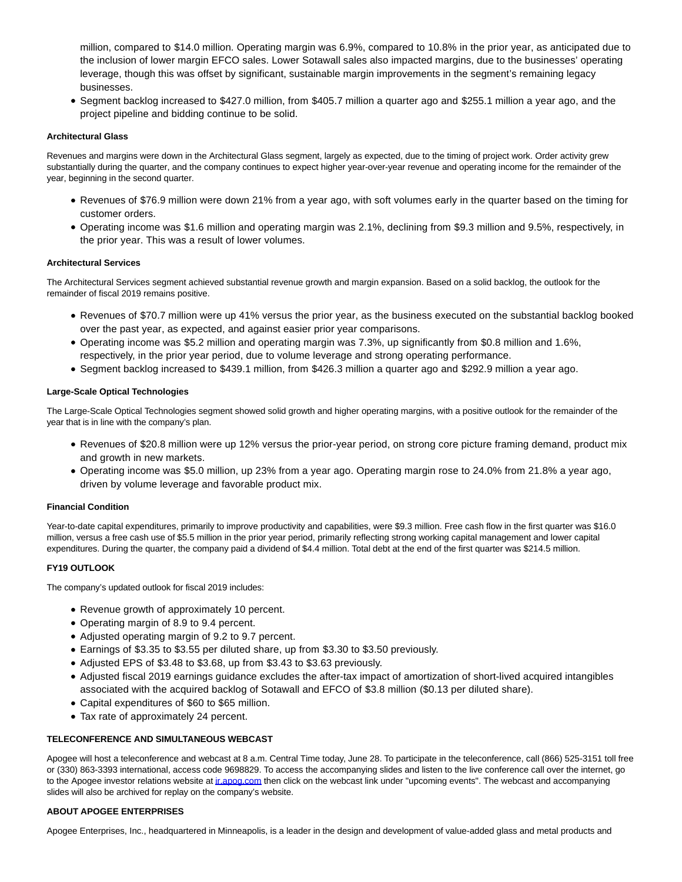million, compared to \$14.0 million. Operating margin was 6.9%, compared to 10.8% in the prior year, as anticipated due to the inclusion of lower margin EFCO sales. Lower Sotawall sales also impacted margins, due to the businesses' operating leverage, though this was offset by significant, sustainable margin improvements in the segment's remaining legacy businesses.

Segment backlog increased to \$427.0 million, from \$405.7 million a quarter ago and \$255.1 million a year ago, and the project pipeline and bidding continue to be solid.

## **Architectural Glass**

Revenues and margins were down in the Architectural Glass segment, largely as expected, due to the timing of project work. Order activity grew substantially during the quarter, and the company continues to expect higher year-over-year revenue and operating income for the remainder of the year, beginning in the second quarter.

- Revenues of \$76.9 million were down 21% from a year ago, with soft volumes early in the quarter based on the timing for customer orders.
- Operating income was \$1.6 million and operating margin was 2.1%, declining from \$9.3 million and 9.5%, respectively, in the prior year. This was a result of lower volumes.

### **Architectural Services**

The Architectural Services segment achieved substantial revenue growth and margin expansion. Based on a solid backlog, the outlook for the remainder of fiscal 2019 remains positive.

- Revenues of \$70.7 million were up 41% versus the prior year, as the business executed on the substantial backlog booked over the past year, as expected, and against easier prior year comparisons.
- Operating income was \$5.2 million and operating margin was 7.3%, up significantly from \$0.8 million and 1.6%, respectively, in the prior year period, due to volume leverage and strong operating performance.
- Segment backlog increased to \$439.1 million, from \$426.3 million a quarter ago and \$292.9 million a year ago.

## **Large-Scale Optical Technologies**

The Large-Scale Optical Technologies segment showed solid growth and higher operating margins, with a positive outlook for the remainder of the year that is in line with the company's plan.

- Revenues of \$20.8 million were up 12% versus the prior-year period, on strong core picture framing demand, product mix and growth in new markets.
- Operating income was \$5.0 million, up 23% from a year ago. Operating margin rose to 24.0% from 21.8% a year ago, driven by volume leverage and favorable product mix.

### **Financial Condition**

Year-to-date capital expenditures, primarily to improve productivity and capabilities, were \$9.3 million. Free cash flow in the first quarter was \$16.0 million, versus a free cash use of \$5.5 million in the prior year period, primarily reflecting strong working capital management and lower capital expenditures. During the quarter, the company paid a dividend of \$4.4 million. Total debt at the end of the first quarter was \$214.5 million.

### **FY19 OUTLOOK**

The company's updated outlook for fiscal 2019 includes:

- Revenue growth of approximately 10 percent.
- Operating margin of 8.9 to 9.4 percent.
- Adjusted operating margin of 9.2 to 9.7 percent.
- Earnings of \$3.35 to \$3.55 per diluted share, up from \$3.30 to \$3.50 previously.
- Adjusted EPS of \$3.48 to \$3.68, up from \$3.43 to \$3.63 previously.
- Adjusted fiscal 2019 earnings guidance excludes the after-tax impact of amortization of short-lived acquired intangibles associated with the acquired backlog of Sotawall and EFCO of \$3.8 million (\$0.13 per diluted share).
- Capital expenditures of \$60 to \$65 million.
- Tax rate of approximately 24 percent.

# **TELECONFERENCE AND SIMULTANEOUS WEBCAST**

Apogee will host a teleconference and webcast at 8 a.m. Central Time today, June 28. To participate in the teleconference, call (866) 525-3151 toll free or (330) 863-3393 international, access code 9698829. To access the accompanying slides and listen to the live conference call over the internet, go to the Apogee investor relations website at *ir.apog.com* then click on the webcast link under "upcoming events". The webcast and accompanying slides will also be archived for replay on the company's website.

### **ABOUT APOGEE ENTERPRISES**

Apogee Enterprises, Inc., headquartered in Minneapolis, is a leader in the design and development of value-added glass and metal products and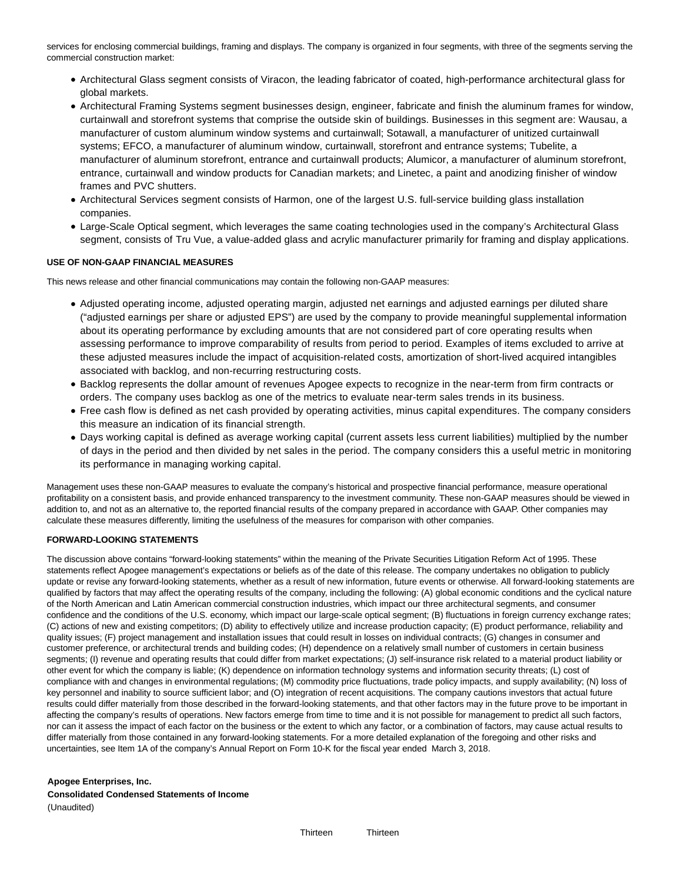services for enclosing commercial buildings, framing and displays. The company is organized in four segments, with three of the segments serving the commercial construction market:

- Architectural Glass segment consists of Viracon, the leading fabricator of coated, high-performance architectural glass for global markets.
- Architectural Framing Systems segment businesses design, engineer, fabricate and finish the aluminum frames for window, curtainwall and storefront systems that comprise the outside skin of buildings. Businesses in this segment are: Wausau, a manufacturer of custom aluminum window systems and curtainwall; Sotawall, a manufacturer of unitized curtainwall systems; EFCO, a manufacturer of aluminum window, curtainwall, storefront and entrance systems; Tubelite, a manufacturer of aluminum storefront, entrance and curtainwall products; Alumicor, a manufacturer of aluminum storefront, entrance, curtainwall and window products for Canadian markets; and Linetec, a paint and anodizing finisher of window frames and PVC shutters.
- Architectural Services segment consists of Harmon, one of the largest U.S. full-service building glass installation companies.
- Large-Scale Optical segment, which leverages the same coating technologies used in the company's Architectural Glass segment, consists of Tru Vue, a value-added glass and acrylic manufacturer primarily for framing and display applications.

### **USE OF NON-GAAP FINANCIAL MEASURES**

This news release and other financial communications may contain the following non-GAAP measures:

- Adjusted operating income, adjusted operating margin, adjusted net earnings and adjusted earnings per diluted share ("adjusted earnings per share or adjusted EPS") are used by the company to provide meaningful supplemental information about its operating performance by excluding amounts that are not considered part of core operating results when assessing performance to improve comparability of results from period to period. Examples of items excluded to arrive at these adjusted measures include the impact of acquisition-related costs, amortization of short-lived acquired intangibles associated with backlog, and non-recurring restructuring costs.
- Backlog represents the dollar amount of revenues Apogee expects to recognize in the near-term from firm contracts or orders. The company uses backlog as one of the metrics to evaluate near-term sales trends in its business.
- Free cash flow is defined as net cash provided by operating activities, minus capital expenditures. The company considers this measure an indication of its financial strength.
- Days working capital is defined as average working capital (current assets less current liabilities) multiplied by the number of days in the period and then divided by net sales in the period. The company considers this a useful metric in monitoring its performance in managing working capital.

Management uses these non-GAAP measures to evaluate the company's historical and prospective financial performance, measure operational profitability on a consistent basis, and provide enhanced transparency to the investment community. These non-GAAP measures should be viewed in addition to, and not as an alternative to, the reported financial results of the company prepared in accordance with GAAP. Other companies may calculate these measures differently, limiting the usefulness of the measures for comparison with other companies.

### **FORWARD-LOOKING STATEMENTS**

The discussion above contains "forward-looking statements" within the meaning of the Private Securities Litigation Reform Act of 1995. These statements reflect Apogee management's expectations or beliefs as of the date of this release. The company undertakes no obligation to publicly update or revise any forward-looking statements, whether as a result of new information, future events or otherwise. All forward-looking statements are qualified by factors that may affect the operating results of the company, including the following: (A) global economic conditions and the cyclical nature of the North American and Latin American commercial construction industries, which impact our three architectural segments, and consumer confidence and the conditions of the U.S. economy, which impact our large-scale optical segment; (B) fluctuations in foreign currency exchange rates; (C) actions of new and existing competitors; (D) ability to effectively utilize and increase production capacity; (E) product performance, reliability and quality issues; (F) project management and installation issues that could result in losses on individual contracts; (G) changes in consumer and customer preference, or architectural trends and building codes; (H) dependence on a relatively small number of customers in certain business segments; (I) revenue and operating results that could differ from market expectations; (J) self-insurance risk related to a material product liability or other event for which the company is liable; (K) dependence on information technology systems and information security threats; (L) cost of compliance with and changes in environmental regulations; (M) commodity price fluctuations, trade policy impacts, and supply availability; (N) loss of key personnel and inability to source sufficient labor; and (O) integration of recent acquisitions. The company cautions investors that actual future results could differ materially from those described in the forward-looking statements, and that other factors may in the future prove to be important in affecting the company's results of operations. New factors emerge from time to time and it is not possible for management to predict all such factors, nor can it assess the impact of each factor on the business or the extent to which any factor, or a combination of factors, may cause actual results to differ materially from those contained in any forward-looking statements. For a more detailed explanation of the foregoing and other risks and uncertainties, see Item 1A of the company's Annual Report on Form 10-K for the fiscal year ended March 3, 2018.

## **Apogee Enterprises, Inc. Consolidated Condensed Statements of Income** (Unaudited)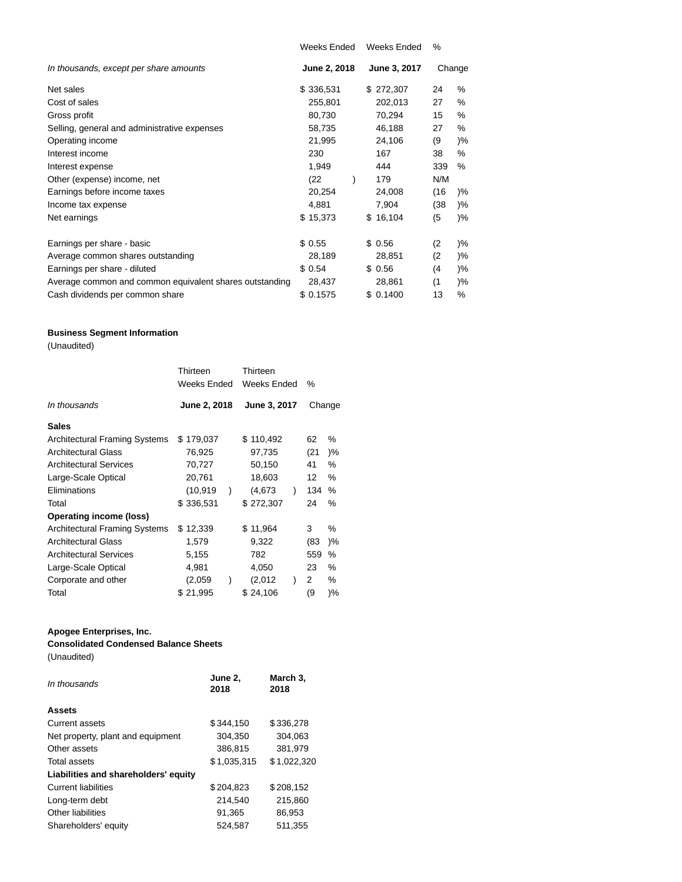Weeks Ended Weeks Ended %

| In thousands, except per share amounts                  | June 2, 2018 | June 3, 2017 | Change |               |
|---------------------------------------------------------|--------------|--------------|--------|---------------|
| Net sales                                               | \$336,531    | \$272,307    | 24     | %             |
| Cost of sales                                           | 255.801      | 202,013      | 27     | $\%$          |
| Gross profit                                            | 80,730       | 70,294       | 15     | %             |
| Selling, general and administrative expenses            | 58,735       | 46,188       | 27     | %             |
| Operating income                                        | 21,995       | 24,106       | (9     | $)\%$         |
| Interest income                                         | 230          | 167          | 38     | %             |
| Interest expense                                        | 1,949        | 444          | 339    | %             |
| Other (expense) income, net                             | (22          | 179          | N/M    |               |
| Earnings before income taxes                            | 20,254       | 24,008       | (16    | $)\%$         |
| Income tax expense                                      | 4,881        | 7,904        | (38    | $\frac{9}{6}$ |
| Net earnings                                            | \$15,373     | \$16,104     | (5     | $\frac{9}{6}$ |
| Earnings per share - basic                              | \$ 0.55      | \$ 0.56      | (2     | )%            |
| Average common shares outstanding                       | 28,189       | 28,851       | (2     | $)\%$         |
| Earnings per share - diluted                            | \$ 0.54      | \$ 0.56      | (4     | $)\%$         |
| Average common and common equivalent shares outstanding | 28,437       | 28,861       | (1)    | $)\%$         |
| Cash dividends per common share                         | \$0.1575     | \$0.1400     | 13     | %             |

# **Business Segment Information**

(Unaudited)

| Thirteen<br>Weeks Ended    | Thirteen<br>Weeks Ended  | ℅                    |
|----------------------------|--------------------------|----------------------|
| June 2, 2018               | June 3, 2017             | Change               |
|                            |                          |                      |
| \$179,037                  | \$110,492                | 62<br>$\%$           |
| 76,925                     | 97,735                   | (21<br>$\frac{9}{6}$ |
| 70,727                     | 50,150                   | ℅<br>41              |
| 20,761                     | 18,603                   | 12<br>%              |
| (10, 919)<br>$\mathcal{E}$ | (4,673)<br>$\mathcal{E}$ | 134<br>%             |
| \$336,531                  | \$272,307                | 24<br>℅              |
|                            |                          |                      |
| \$12,339                   | \$11,964                 | 3<br>%               |
| 1,579                      | 9,322                    | (83<br>$\frac{9}{6}$ |
| 5,155                      | 782                      | 559<br>%             |
| 4,981                      | 4,050                    | 23<br>%              |
| (2,059)<br>)               | (2,012)                  | 2<br>℅               |
| \$21,995                   | \$24,106                 | (9<br>)%             |
|                            |                          |                      |

# **Apogee Enterprises, Inc.**

**Consolidated Condensed Balance Sheets**

(Unaudited)

| In thousands                         | June 2,<br>2018 | March 3,<br>2018 |
|--------------------------------------|-----------------|------------------|
| <b>Assets</b>                        |                 |                  |
| Current assets                       | \$344,150       | \$336,278        |
| Net property, plant and equipment    | 304.350         | 304.063          |
| Other assets                         | 386,815         | 381,979          |
| Total assets                         | \$1.035.315     | \$1.022.320      |
| Liabilities and shareholders' equity |                 |                  |
| <b>Current liabilities</b>           | \$204.823       | \$208,152        |
| Long-term debt                       | 214,540         | 215,860          |
| Other liabilities                    | 91.365          | 86,953           |
| Shareholders' equity                 | 524.587         | 511.355          |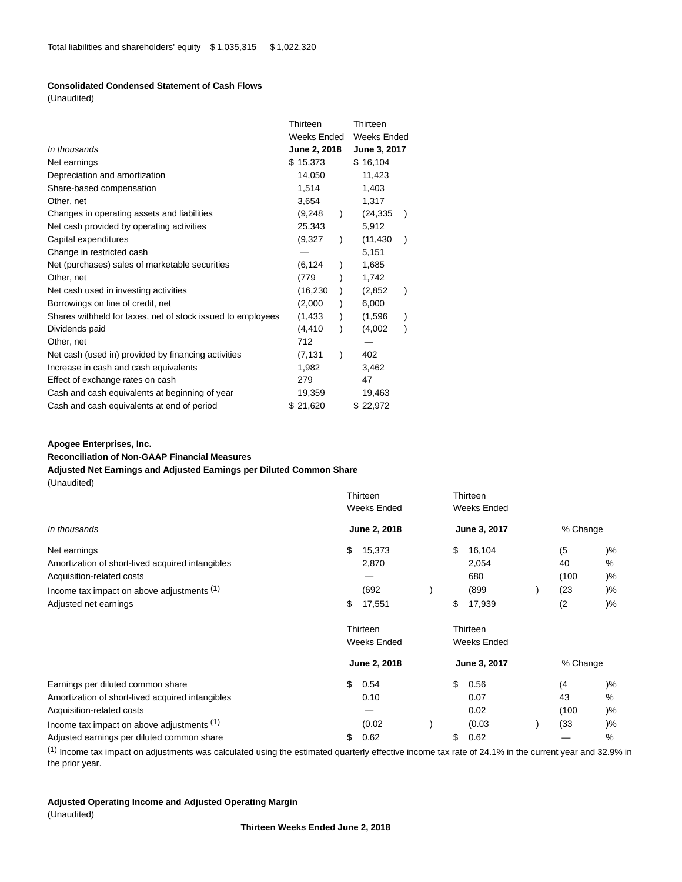# **Consolidated Condensed Statement of Cash Flows**

(Unaudited)

|                                                             | Thirteen     |           | Thirteen                           |               |  |
|-------------------------------------------------------------|--------------|-----------|------------------------------------|---------------|--|
|                                                             | Weeks Ended  |           | <b>Weeks Ended</b><br>June 3, 2017 |               |  |
| In thousands                                                | June 2, 2018 |           |                                    |               |  |
| Net earnings                                                | \$15,373     |           | \$16,104                           |               |  |
| Depreciation and amortization                               | 14,050       |           | 11,423                             |               |  |
| Share-based compensation                                    | 1,514        |           | 1,403                              |               |  |
| Other, net                                                  | 3,654        |           | 1,317                              |               |  |
| Changes in operating assets and liabilities                 | (9,248)      | $\lambda$ | (24, 335)                          | $\lambda$     |  |
| Net cash provided by operating activities                   | 25,343       |           | 5,912                              |               |  |
| Capital expenditures                                        | (9,327)      |           | (11, 430)                          | $\lambda$     |  |
| Change in restricted cash                                   |              |           | 5,151                              |               |  |
| Net (purchases) sales of marketable securities              | (6, 124)     |           | 1,685                              |               |  |
| Other, net                                                  | (779         |           | 1,742                              |               |  |
| Net cash used in investing activities                       | (16, 230)    |           | (2,852)                            | $\lambda$     |  |
| Borrowings on line of credit, net                           | (2,000)      |           | 6,000                              |               |  |
| Shares withheld for taxes, net of stock issued to employees | (1, 433)     |           | (1,596)                            | $\mathcal{E}$ |  |
| Dividends paid                                              | (4,410       |           | (4,002)                            |               |  |
| Other, net                                                  | 712          |           |                                    |               |  |
| Net cash (used in) provided by financing activities         | (7, 131)     |           | 402                                |               |  |
| Increase in cash and cash equivalents                       | 1,982        |           | 3,462                              |               |  |
| Effect of exchange rates on cash                            | 279          |           | 47                                 |               |  |
| Cash and cash equivalents at beginning of year              | 19,359       |           | 19,463                             |               |  |
| Cash and cash equivalents at end of period                  | \$21,620     |           | \$22,972                           |               |  |

## **Apogee Enterprises, Inc.**

# **Reconciliation of Non-GAAP Financial Measures**

**Adjusted Net Earnings and Adjusted Earnings per Diluted Common Share**

(Unaudited)

|                                                                                               | Thirteen<br>Weeks Ended | Thirteen<br><b>Weeks Ended</b> |                    |                             |
|-----------------------------------------------------------------------------------------------|-------------------------|--------------------------------|--------------------|-----------------------------|
| In thousands                                                                                  | June 2, 2018            | June 3, 2017                   | % Change           |                             |
| Net earnings<br>Amortization of short-lived acquired intangibles<br>Acquisition-related costs | \$<br>15,373<br>2,870   | \$<br>16,104<br>2,054<br>680   | (5)<br>40<br>(100) | $\frac{9}{6}$<br>%<br>$)\%$ |
| Income tax impact on above adjustments (1)                                                    | (692)                   | (899)                          | (23)               | $\frac{9}{6}$               |
| Adjusted net earnings                                                                         | \$<br>17,551            | \$<br>17,939                   | (2)                | $\frac{9}{6}$               |
|                                                                                               | Thirteen<br>Weeks Ended | Thirteen<br><b>Weeks Ended</b> |                    |                             |
|                                                                                               | June 2, 2018            | June 3, 2017                   | % Change           |                             |
| Earnings per diluted common share                                                             | \$<br>0.54              | \$<br>0.56                     | (4)                | $)\%$                       |
| Amortization of short-lived acquired intangibles                                              | 0.10                    | 0.07                           | 43                 | %                           |
| Acquisition-related costs                                                                     |                         | 0.02                           | (100)              | $)\%$                       |
| Income tax impact on above adjustments (1)                                                    | (0.02)                  | (0.03)                         | (33)               | $)\%$                       |
| Adjusted earnings per diluted common share                                                    | \$<br>0.62              | \$<br>0.62                     |                    | %                           |

(1) Income tax impact on adjustments was calculated using the estimated quarterly effective income tax rate of 24.1% in the current year and 32.9% in the prior year.

**Adjusted Operating Income and Adjusted Operating Margin** (Unaudited)